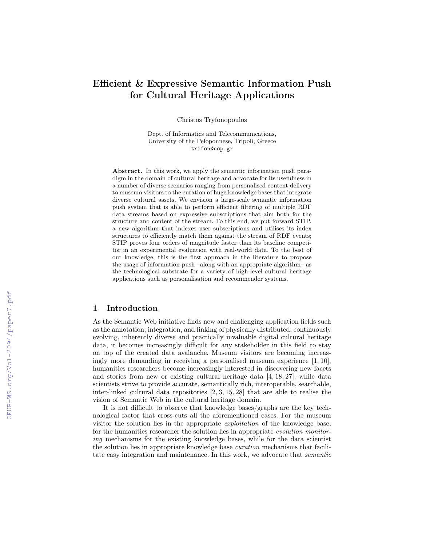# Efficient & Expressive Semantic Information Push for Cultural Heritage Applications

Christos Tryfonopoulos

Dept. of Informatics and Telecommunications, University of the Peloponnese, Tripoli, Greece trifon@uop.gr

Abstract. In this work, we apply the semantic information push paradigm in the domain of cultural heritage and advocate for its usefulness in a number of diverse scenarios ranging from personalised content delivery to museum visitors to the curation of huge knowledge bases that integrate diverse cultural assets. We envision a large-scale semantic information push system that is able to perform efficient filtering of multiple RDF data streams based on expressive subscriptions that aim both for the structure and content of the stream. To this end, we put forward STIP, a new algorithm that indexes user subscriptions and utilises its index structures to efficiently match them against the stream of RDF events; STIP proves four orders of magnitude faster than its baseline competitor in an experimental evaluation with real-world data. To the best of our knowledge, this is the first approach in the literature to propose the usage of information push –along with an appropriate algorithm– as the technological substrate for a variety of high-level cultural heritage applications such as personalisation and recommender systems.

## 1 Introduction

As the Semantic Web initiative finds new and challenging application fields such as the annotation, integration, and linking of physically distributed, continuously evolving, inherently diverse and practically invaluable digital cultural heritage data, it becomes increasingly difficult for any stakeholder in this field to stay on top of the created data avalanche. Museum visitors are becoming increasingly more demanding in receiving a personalised museum experience [1, 10], humanities researchers become increasingly interested in discovering new facets and stories from new or existing cultural heritage data [4, 18, 27], while data scientists strive to provide accurate, semantically rich, interoperable, searchable, inter-linked cultural data repositories [2, 3, 15, 28] that are able to realise the vision of Semantic Web in the cultural heritage domain.

It is not difficult to observe that knowledge bases/graphs are the key technological factor that cross-cuts all the aforementioned cases. For the museum visitor the solution lies in the appropriate exploitation of the knowledge base, for the humanities researcher the solution lies in appropriate evolution monitoring mechanisms for the existing knowledge bases, while for the data scientist the solution lies in appropriate knowledge base curation mechanisms that facilitate easy integration and maintenance. In this work, we advocate that semantic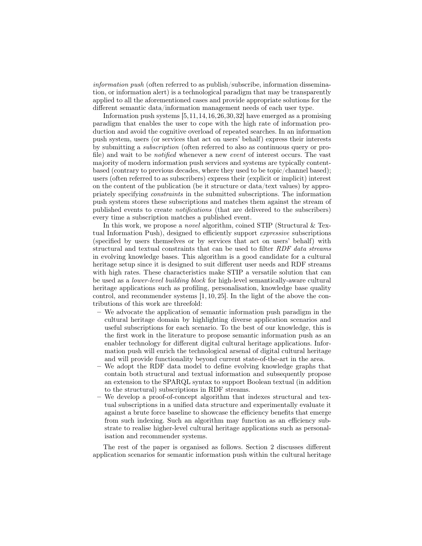information push (often referred to as publish/subscribe, information dissemination, or information alert) is a technological paradigm that may be transparently applied to all the aforementioned cases and provide appropriate solutions for the different semantic data/information management needs of each user type.

Information push systems [5,11,14,16,26,30,32] have emerged as a promising paradigm that enables the user to cope with the high rate of information production and avoid the cognitive overload of repeated searches. In an information push system, users (or services that act on users' behalf) express their interests by submitting a subscription (often referred to also as continuous query or profile) and wait to be notified whenever a new event of interest occurs. The vast majority of modern information push services and systems are typically contentbased (contrary to previous decades, where they used to be topic/channel based); users (often referred to as subscribers) express their (explicit or implicit) interest on the content of the publication (be it structure or data/text values) by appropriately specifying constraints in the submitted subscriptions. The information push system stores these subscriptions and matches them against the stream of published events to create notifications (that are delivered to the subscribers) every time a subscription matches a published event.

In this work, we propose a *novel* algorithm, coined STIP (Structural & Textual Information Push), designed to efficiently support expressive subscriptions (specified by users themselves or by services that act on users' behalf) with structural and textual constraints that can be used to filter RDF data streams in evolving knowledge bases. This algorithm is a good candidate for a cultural heritage setup since it is designed to suit different user needs and RDF streams with high rates. These characteristics make STIP a versatile solution that can be used as a lower-level building block for high-level semantically-aware cultural heritage applications such as profiling, personalisation, knowledge base quality control, and recommender systems [1, 10, 25]. In the light of the above the contributions of this work are threefold:

- We advocate the application of semantic information push paradigm in the cultural heritage domain by highlighting diverse application scenarios and useful subscriptions for each scenario. To the best of our knowledge, this is the first work in the literature to propose semantic information push as an enabler technology for different digital cultural heritage applications. Information push will enrich the technological arsenal of digital cultural heritage and will provide functionality beyond current state-of-the-art in the area.
- We adopt the RDF data model to define evolving knowledge graphs that contain both structural and textual information and subsequently propose an extension to the SPARQL syntax to support Boolean textual (in addition to the structural) subscriptions in RDF streams.
- We develop a proof-of-concept algorithm that indexes structural and textual subscriptions in a unified data structure and experimentally evaluate it against a brute force baseline to showcase the efficiency benefits that emerge from such indexing. Such an algorithm may function as an efficiency substrate to realise higher-level cultural heritage applications such as personalisation and recommender systems.

The rest of the paper is organised as follows. Section 2 discusses different application scenarios for semantic information push within the cultural heritage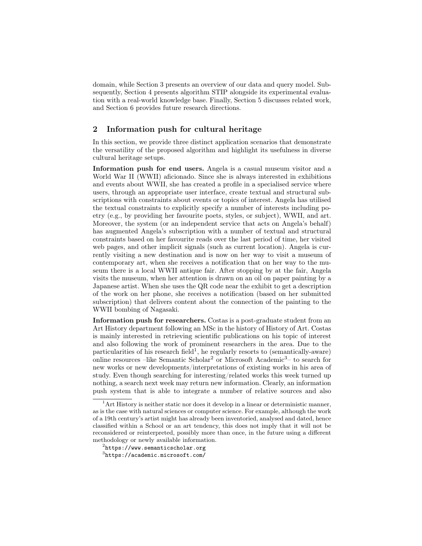domain, while Section 3 presents an overview of our data and query model. Subsequently, Section 4 presents algorithm STIP alongside its experimental evaluation with a real-world knowledge base. Finally, Section 5 discusses related work, and Section 6 provides future research directions.

## 2 Information push for cultural heritage

In this section, we provide three distinct application scenarios that demonstrate the versatility of the proposed algorithm and highlight its usefulness in diverse cultural heritage setups.

Information push for end users. Angela is a casual museum visitor and a World War II (WWII) aficionado. Since she is always interested in exhibitions and events about WWII, she has created a profile in a specialised service where users, through an appropriate user interface, create textual and structural subscriptions with constraints about events or topics of interest. Angela has utilised the textual constraints to explicitly specify a number of interests including poetry (e.g., by providing her favourite poets, styles, or subject), WWII, and art. Moreover, the system (or an independent service that acts on Angela's behalf) has augmented Angela's subscription with a number of textual and structural constraints based on her favourite reads over the last period of time, her visited web pages, and other implicit signals (such as current location). Angela is currently visiting a new destination and is now on her way to visit a museum of contemporary art, when she receives a notification that on her way to the museum there is a local WWII antique fair. After stopping by at the fair, Angela visits the museum, when her attention is drawn on an oil on paper painting by a Japanese artist. When she uses the QR code near the exhibit to get a description of the work on her phone, she receives a notification (based on her submitted subscription) that delivers content about the connection of the painting to the WWII bombing of Nagasaki.

Information push for researchers. Costas is a post-graduate student from an Art History department following an MSc in the history of History of Art. Costas is mainly interested in retrieving scientific publications on his topic of interest and also following the work of prominent researchers in the area. Due to the particularities of his research field<sup>1</sup>, he regularly resorts to (semantically-aware) online resources –like Semantic Scholar<sup>2</sup> or Microsoft Academic<sup>3</sup>– to search for new works or new developments/interpretations of existing works in his area of study. Even though searching for interesting/related works this week turned up nothing, a search next week may return new information. Clearly, an information push system that is able to integrate a number of relative sources and also

 $<sup>1</sup>$ Art History is neither static nor does it develop in a linear or deterministic manner,</sup> as is the case with natural sciences or computer science. For example, although the work of a 19th century's artist might has already been inventoried, analysed and dated, hence classified within a School or an art tendency, this does not imply that it will not be reconsidered or reinterpreted, possibly more than once, in the future using a different methodology or newly available information.

 $^{2}$ https://www.semanticscholar.org

 ${}^{3}$ https://academic.microsoft.com/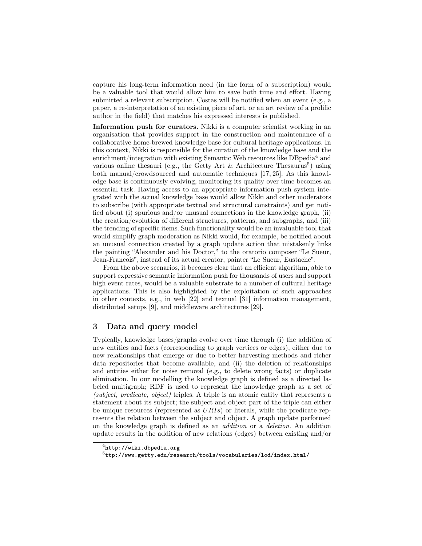capture his long-term information need (in the form of a subscription) would be a valuable tool that would allow him to save both time and effort. Having submitted a relevant subscription, Costas will be notified when an event (e.g., a paper, a re-interpretation of an existing piece of art, or an art review of a prolific author in the field) that matches his expressed interests is published.

Information push for curators. Nikki is a computer scientist working in an organisation that provides support in the construction and maintenance of a collaborative home-brewed knowledge base for cultural heritage applications. In this context, Nikki is responsible for the curation of the knowledge base and the enrichment/integration with existing Semantic Web resources like DBpedia<sup>4</sup> and various online thesauri (e.g., the Getty Art & Architecture Thesaurus<sup>5</sup>) using both manual/crowdsourced and automatic techniques [17, 25]. As this knowledge base is continuously evolving, monitoring its quality over time becomes an essential task. Having access to an appropriate information push system integrated with the actual knowledge base would allow Nikki and other moderators to subscribe (with appropriate textual and structural constraints) and get notified about (i) spurious and/or unusual connections in the knowledge graph, (ii) the creation/evolution of different structures, patterns, and subgraphs, and (iii) the trending of specific items. Such functionality would be an invaluable tool that would simplify graph moderation as Nikki would, for example, be notified about an unusual connection created by a graph update action that mistakenly links the painting "Alexander and his Doctor," to the oratorio composer "Le Sueur, Jean-Francois", instead of its actual creator, painter "Le Sueur, Eustache".

From the above scenarios, it becomes clear that an efficient algorithm, able to support expressive semantic information push for thousands of users and support high event rates, would be a valuable substrate to a number of cultural heritage applications. This is also highlighted by the exploitation of such approaches in other contexts, e.g., in web [22] and textual [31] information management, distributed setups [9], and middleware architectures [29].

## 3 Data and query model

Typically, knowledge bases/graphs evolve over time through (i) the addition of new entities and facts (corresponding to graph vertices or edges), either due to new relationships that emerge or due to better harvesting methods and richer data repositories that become available, and (ii) the deletion of relationships and entities either for noise removal (e.g., to delete wrong facts) or duplicate elimination. In our modelling the knowledge graph is defined as a directed labeled multigraph; RDF is used to represent the knowledge graph as a set of (subject, predicate, object) triples. A triple is an atomic entity that represents a statement about its subject; the subject and object part of the triple can either be unique resources (represented as *URIs*) or literals, while the predicate represents the relation between the subject and object. A graph update performed on the knowledge graph is defined as an addition or a deletion. An addition update results in the addition of new relations (edges) between existing and/or

 $^4$ http://wiki.dbpedia.org

 $^5$ ttp://www.getty.edu/research/tools/vocabularies/lod/index.html/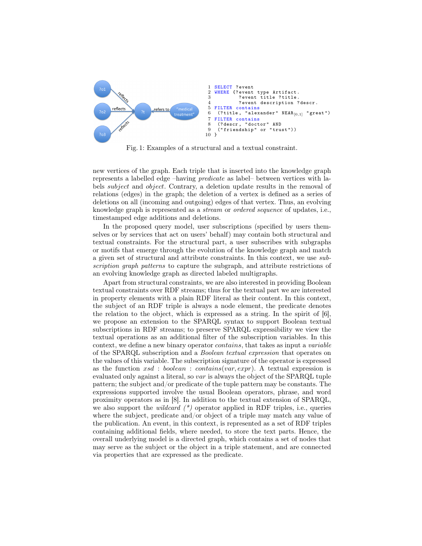

Fig. 1: Examples of a structural and a textual constraint.

new vertices of the graph. Each triple that is inserted into the knowledge graph represents a labelled edge –having predicate as label– between vertices with labels *subject* and *object*. Contrary, a deletion update results in the removal of relations (edges) in the graph; the deletion of a vertex is defined as a series of deletions on all (incoming and outgoing) edges of that vertex. Thus, an evolving knowledge graph is represented as a stream or ordered sequence of updates, i.e., timestamped edge additions and deletions.

In the proposed query model, user subscriptions (specified by users themselves or by services that act on users' behalf) may contain both structural and textual constraints. For the structural part, a user subscribes with subgraphs or motifs that emerge through the evolution of the knowledge graph and match a given set of structural and attribute constraints. In this context, we use subscription graph patterns to capture the subgraph, and attribute restrictions of an evolving knowledge graph as directed labeled multigraphs.

Apart from structural constraints, we are also interested in providing Boolean textual constraints over RDF streams; thus for the textual part we are interested in property elements with a plain RDF literal as their content. In this context, the subject of an RDF triple is always a node element, the predicate denotes the relation to the object, which is expressed as a string. In the spirit of [6], we propose an extension to the SPARQL syntax to support Boolean textual subscriptions in RDF streams; to preserve SPARQL expressibility we view the textual operations as an additional filter of the subscription variables. In this context, we define a new binary operator *contains*, that takes as input a variable of the SPARQL subscription and a Boolean textual expression that operates on the values of this variable. The subscription signature of the operator is expressed as the function *xsd* : *boolean* : *contains*(*var, expr*). A textual expression is evaluated only against a literal, so *var* is always the object of the SPARQL tuple pattern; the subject and/or predicate of the tuple pattern may be constants. The expressions supported involve the usual Boolean operators, phrase, and word proximity operators as in [8]. In addition to the textual extension of SPARQL, we also support the *wildcard*  $(*)$  operator applied in RDF triples, i.e., queries where the subject, predicate and/or object of a triple may match any value of the publication. An event, in this context, is represented as a set of RDF triples containing additional fields, where needed, to store the text parts. Hence, the overall underlying model is a directed graph, which contains a set of nodes that may serve as the subject or the object in a triple statement, and are connected via properties that are expressed as the predicate.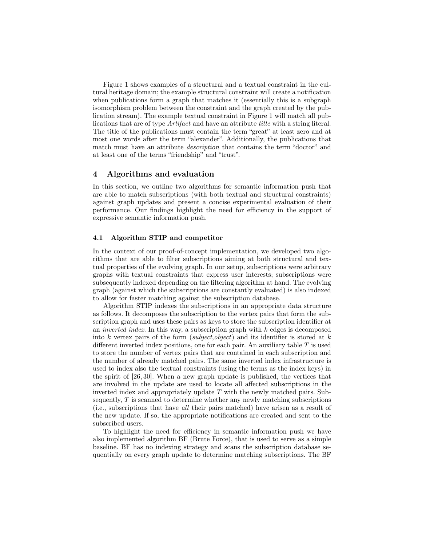Figure 1 shows examples of a structural and a textual constraint in the cultural heritage domain; the example structural constraint will create a notification when publications form a graph that matches it (essentially this is a subgraph isomorphism problem between the constraint and the graph created by the publication stream). The example textual constraint in Figure 1 will match all publications that are of type Artifact and have an attribute title with a string literal. The title of the publications must contain the term "great" at least zero and at most one words after the term "alexander". Additionally, the publications that match must have an attribute description that contains the term "doctor" and at least one of the terms "friendship" and "trust".

## 4 Algorithms and evaluation

In this section, we outline two algorithms for semantic information push that are able to match subscriptions (with both textual and structural constraints) against graph updates and present a concise experimental evaluation of their performance. Our findings highlight the need for efficiency in the support of expressive semantic information push.

### 4.1 Algorithm STIP and competitor

In the context of our proof-of-concept implementation, we developed two algorithms that are able to filter subscriptions aiming at both structural and textual properties of the evolving graph. In our setup, subscriptions were arbitrary graphs with textual constraints that express user interests; subscriptions were subsequently indexed depending on the filtering algorithm at hand. The evolving graph (against which the subscriptions are constantly evaluated) is also indexed to allow for faster matching against the subscription database.

Algorithm STIP indexes the subscriptions in an appropriate data structure as follows. It decomposes the subscription to the vertex pairs that form the subscription graph and uses these pairs as keys to store the subscription identifier at an inverted index. In this way, a subscription graph with *k* edges is decomposed into *k* vertex pairs of the form (subject,object) and its identifier is stored at *k* different inverted index positions, one for each pair. An auxiliary table *T* is used to store the number of vertex pairs that are contained in each subscription and the number of already matched pairs. The same inverted index infrastructure is used to index also the textual constraints (using the terms as the index keys) in the spirit of [26, 30]. When a new graph update is published, the vertices that are involved in the update are used to locate all affected subscriptions in the inverted index and appropriately update *T* with the newly matched pairs. Subsequently, *T* is scanned to determine whether any newly matching subscriptions (i.e., subscriptions that have all their pairs matched) have arisen as a result of the new update. If so, the appropriate notifications are created and sent to the subscribed users.

To highlight the need for efficiency in semantic information push we have also implemented algorithm BF (Brute Force), that is used to serve as a simple baseline. BF has no indexing strategy and scans the subscription database sequentially on every graph update to determine matching subscriptions. The BF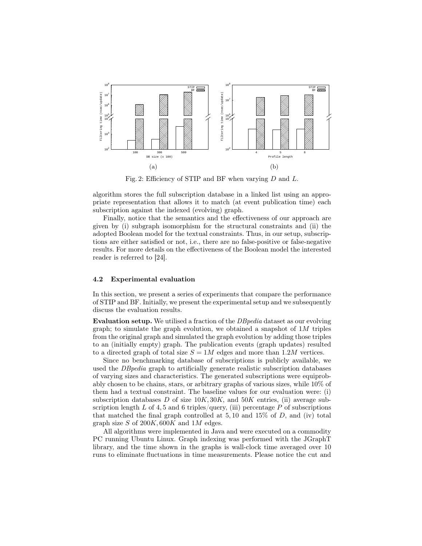

Fig. 2: Efficiency of STIP and BF when varying *D* and *L*.

algorithm stores the full subscription database in a linked list using an appropriate representation that allows it to match (at event publication time) each subscription against the indexed (evolving) graph.

Finally, notice that the semantics and the effectiveness of our approach are given by (i) subgraph isomorphism for the structural constraints and (ii) the adopted Boolean model for the textual constraints. Thus, in our setup, subscriptions are either satisfied or not, i.e., there are no false-positive or false-negative results. For more details on the effectiveness of the Boolean model the interested reader is referred to [24].

#### 4.2 Experimental evaluation

In this section, we present a series of experiments that compare the performance of STIP and BF. Initially, we present the experimental setup and we subsequently discuss the evaluation results.

Evaluation setup. We utilised a fraction of the *DBpedia* dataset as our evolving graph; to simulate the graph evolution, we obtained a snapshot of 1*M* triples from the original graph and simulated the graph evolution by adding those triples to an (initially empty) graph. The publication events (graph updates) resulted to a directed graph of total size  $S = 1M$  edges and more than 1.2*M* vertices.

Since no benchmarking database of subscriptions is publicly available, we used the *DBpedia* graph to artificially generate realistic subscription databases of varying sizes and characteristics. The generated subscriptions were equiprobably chosen to be chains, stars, or arbitrary graphs of various sizes, while 10% of them had a textual constraint. The baseline values for our evaluation were: (i) subscription databases *D* of size 10*K,* 30*K,* and 50*K* entries, (ii) average subscription length L of 4,5 and 6 triples/query, (iii) percentage P of subscriptions that matched the final graph controlled at 5*,* 10 and 15% of *D*, and (iv) total graph size *S* of 200*K,* 600*K* and 1*M* edges.

All algorithms were implemented in Java and were executed on a commodity PC running Ubuntu Linux. Graph indexing was performed with the JGraphT library, and the time shown in the graphs is wall-clock time averaged over 10 runs to eliminate fluctuations in time measurements. Please notice the cut and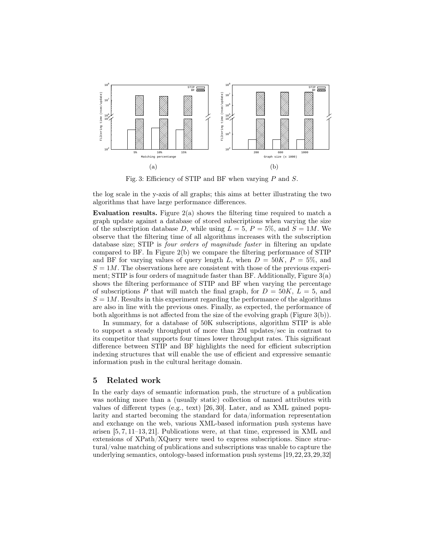

Fig. 3: Efficiency of STIP and BF when varying *P* and *S*.

the log scale in the y-axis of all graphs; this aims at better illustrating the two algorithms that have large performance differences.

Evaluation results. Figure  $2(a)$  shows the filtering time required to match a graph update against a database of stored subscriptions when varying the size of the subscription database D, while using  $L = 5$ ,  $P = 5\%$ , and  $S = 1M$ . We observe that the filtering time of all algorithms increases with the subscription database size; STIP is four orders of magnitude faster in filtering an update compared to BF. In Figure 2(b) we compare the filtering performance of STIP and BF for varying values of query length *L*, when  $D = 50K$ ,  $P = 5\%$ , and  $S = 1M$ . The observations here are consistent with those of the previous experiment; STIP is four orders of magnitude faster than BF. Additionally, Figure  $3(a)$ shows the filtering performance of STIP and BF when varying the percentage of subscriptions *P* that will match the final graph, for  $D = 50K$ ,  $L = 5$ , and  $S = 1M$ . Results in this experiment regarding the performance of the algorithms are also in line with the previous ones. Finally, as expected, the performance of both algorithms is not affected from the size of the evolving graph (Figure 3(b)).

In summary, for a database of 50K subscriptions, algorithm STIP is able to support a steady throughput of more than 2M updates/sec in contrast to its competitor that supports four times lower throughput rates. This significant difference between STIP and BF highlights the need for efficient subscription indexing structures that will enable the use of efficient and expressive semantic information push in the cultural heritage domain.

## 5 Related work

In the early days of semantic information push, the structure of a publication was nothing more than a (usually static) collection of named attributes with values of different types (e.g., text) [26, 30]. Later, and as XML gained popularity and started becoming the standard for data/information representation and exchange on the web, various XML-based information push systems have arisen [5, 7, 11–13, 21]. Publications were, at that time, expressed in XML and extensions of XPath/XQuery were used to express subscriptions. Since structural/value matching of publications and subscriptions was unable to capture the underlying semantics, ontology-based information push systems [19,22,23,29,32]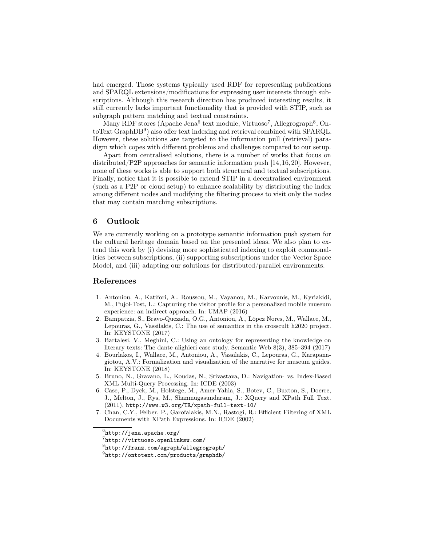had emerged. Those systems typically used RDF for representing publications and SPARQL extensions/modifications for expressing user interests through subscriptions. Although this research direction has produced interesting results, it still currently lacks important functionality that is provided with STIP, such as subgraph pattern matching and textual constraints.

Many RDF stores (Apache Jena<sup>6</sup> text module, Virtuoso<sup>7</sup>, Allegrograph<sup>8</sup>, OntoText GraphDB<sup>9</sup> ) also offer text indexing and retrieval combined with SPARQL. However, these solutions are targeted to the information pull (retrieval) paradigm which copes with different problems and challenges compared to our setup.

Apart from centralised solutions, there is a number of works that focus on distributed/P2P approaches for semantic information push [14,16,20]. However, none of these works is able to support both structural and textual subscriptions. Finally, notice that it is possible to extend STIP in a decentralised environment (such as a P2P or cloud setup) to enhance scalability by distributing the index among different nodes and modifying the filtering process to visit only the nodes that may contain matching subscriptions.

## 6 Outlook

We are currently working on a prototype semantic information push system for the cultural heritage domain based on the presented ideas. We also plan to extend this work by (i) devising more sophisticated indexing to exploit commonalities between subscriptions, (ii) supporting subscriptions under the Vector Space Model, and (iii) adapting our solutions for distributed/parallel environments.

## References

- 1. Antoniou, A., Katifori, A., Roussou, M., Vayanou, M., Karvounis, M., Kyriakidi, M., Pujol-Tost, L.: Capturing the visitor profile for a personalized mobile museum experience: an indirect approach. In: UMAP (2016)
- 2. Bampatzia, S., Bravo-Quezada, O.G., Antoniou, A., López Nores, M., Wallace, M., Lepouras, G., Vassilakis, C.: The use of semantics in the crosscult h2020 project. In: KEYSTONE (2017)
- 3. Bartalesi, V., Meghini, C.: Using an ontology for representing the knowledge on literary texts: The dante alighieri case study. Semantic Web 8(3), 385–394 (2017)
- 4. Bourlakos, I., Wallace, M., Antoniou, A., Vassilakis, C., Lepouras, G., Karapanagiotou, A.V.: Formalization and visualization of the narrative for museum guides. In: KEYSTONE (2018)
- 5. Bruno, N., Gravano, L., Koudas, N., Srivastava, D.: Navigation- vs. Index-Based XML Multi-Query Processing. In: ICDE (2003)
- 6. Case, P., Dyck, M., Holstege, M., Amer-Yahia, S., Botev, C., Buxton, S., Doerre, J., Melton, J., Rys, M., Shanmugasundaram, J.: XQuery and XPath Full Text. (2011), http://www.w3.org/TR/xpath-full-text-10/
- 7. Chan, C.Y., Felber, P., Garofalakis, M.N., Rastogi, R.: Efficient Filtering of XML Documents with XPath Expressions. In: ICDE (2002)

 $^6$ http://jena.apache.org/

 $^{9}$ http://ontotext.com/products/graphdb/

<sup>7</sup> http://virtuoso.openlinksw.com/

<sup>8</sup> http://franz.com/agraph/allegrograph/